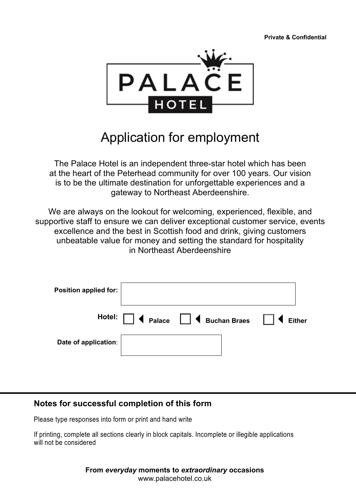**Private & Confidential**



# Application for employment

The Palace Hotel is an independent three-star hotel which has been at the heart of the Peterhead community for over 100 years. Our vision is to be the ultimate destination for unforgettable experiences and a gateway to Northeast Aberdeenshire.

We are always on the lookout for welcoming, experienced, flexible, and supportive staff to ensure we can deliver exceptional customer service, events excellence and the best in Scottish food and drink, giving customers unbeatable value for money and setting the standard for hospitality in Northeast Aberdeenshire

| Position applied for: |                                                       |        |
|-----------------------|-------------------------------------------------------|--------|
|                       | Hotel: $\Box$ < Palace $\Box$ < Buchan Braes $\Box$ < | Either |
| Date of application:  |                                                       |        |

## **Notes for successful completion of this form**

Please type responses into form or print and hand write

If printing, complete all sections clearly in block capitals. Incomplete or illegible applications will not be considered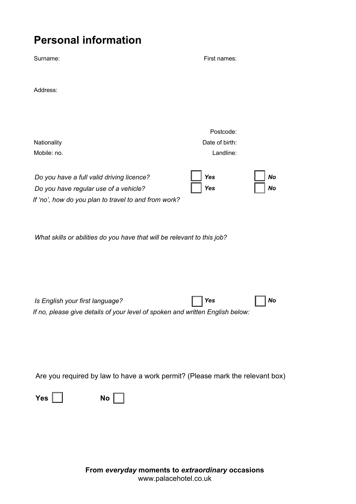# **Personal information**

| Surname:                                                                                                                                                  | First names:                                      |
|-----------------------------------------------------------------------------------------------------------------------------------------------------------|---------------------------------------------------|
| Address:                                                                                                                                                  |                                                   |
| Nationality                                                                                                                                               | Postcode:<br>Date of birth:                       |
| Mobile: no.<br>Do you have a full valid driving licence?<br>Do you have regular use of a vehicle?<br>If 'no', how do you plan to travel to and from work? | Landline:<br><b>Yes</b><br>No<br>Yes<br><b>No</b> |
| What skills or abilities do you have that will be relevant to this job?                                                                                   |                                                   |
| Is English your first language?<br>If no, please give details of your level of spoken and written English below:                                          | <b>No</b><br><b>Yes</b>                           |
| Are you required by law to have a work permit? (Please mark the relevant box)<br>Yes $\Box$<br>$\mathsf{No}$ $\Box$                                       |                                                   |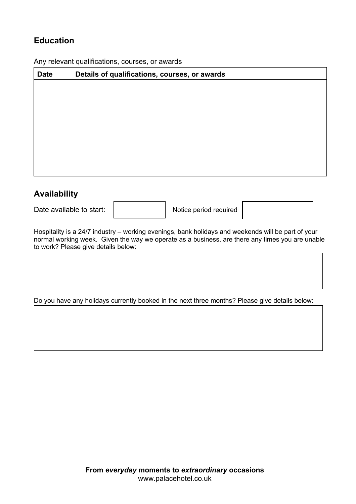# **Education**

Any relevant qualifications, courses, or awards

| <b>Date</b> | Details of qualifications, courses, or awards |  |  |  |  |
|-------------|-----------------------------------------------|--|--|--|--|
|             |                                               |  |  |  |  |
|             |                                               |  |  |  |  |
|             |                                               |  |  |  |  |
|             |                                               |  |  |  |  |
|             |                                               |  |  |  |  |
|             |                                               |  |  |  |  |
|             |                                               |  |  |  |  |
|             |                                               |  |  |  |  |

## **Availability**

 $\overline{\phantom{a}}$ 

Date available to start:  $\parallel$  Notice period required



Hospitality is a 24/7 industry – working evenings, bank holidays and weekends will be part of your normal working week. Given the way we operate as a business, are there any times you are unable to work? Please give details below:

Do you have any holidays currently booked in the next three months? Please give details below: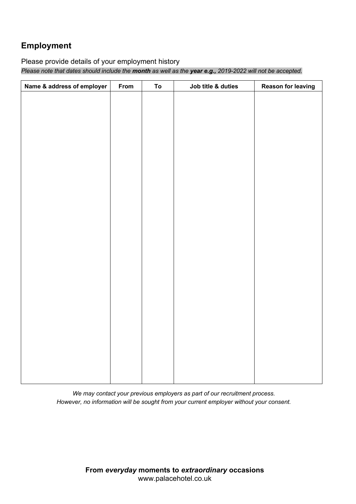# **Employment**

#### Please provide details of your employment history

*Please note that dates should include the month as well as the year e.g., 2019-2022 will not be accepted.* 

| Name & address of employer | From | To | Job title & duties | <b>Reason for leaving</b> |
|----------------------------|------|----|--------------------|---------------------------|
|                            |      |    |                    |                           |
|                            |      |    |                    |                           |
|                            |      |    |                    |                           |
|                            |      |    |                    |                           |
|                            |      |    |                    |                           |
|                            |      |    |                    |                           |
|                            |      |    |                    |                           |
|                            |      |    |                    |                           |
|                            |      |    |                    |                           |
|                            |      |    |                    |                           |
|                            |      |    |                    |                           |
|                            |      |    |                    |                           |
|                            |      |    |                    |                           |
|                            |      |    |                    |                           |
|                            |      |    |                    |                           |
|                            |      |    |                    |                           |
|                            |      |    |                    |                           |
|                            |      |    |                    |                           |
|                            |      |    |                    |                           |
|                            |      |    |                    |                           |
|                            |      |    |                    |                           |
|                            |      |    |                    |                           |
|                            |      |    |                    |                           |
|                            |      |    |                    |                           |
|                            |      |    |                    |                           |
|                            |      |    |                    |                           |

*We may contact your previous employers as part of our recruitment process. However, no information will be sought from your current employer without your consent.*